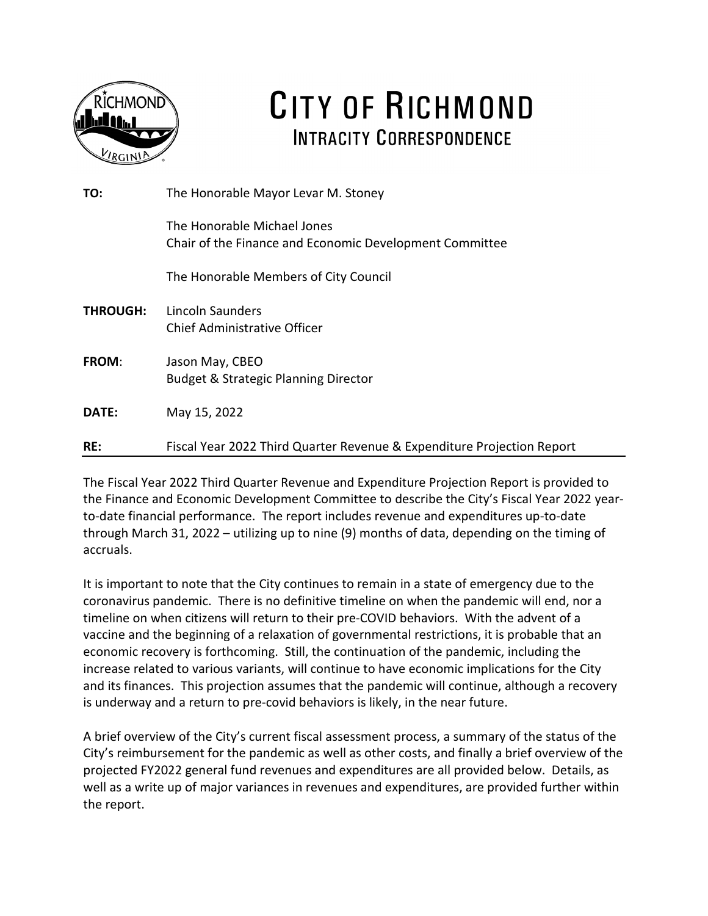

# CITY OF RICHMOND **INTRACITY CORRESPONDENCE**

| TO:             | The Honorable Mayor Levar M. Stoney                                                    |  |  |  |  |
|-----------------|----------------------------------------------------------------------------------------|--|--|--|--|
|                 | The Honorable Michael Jones<br>Chair of the Finance and Economic Development Committee |  |  |  |  |
|                 | The Honorable Members of City Council                                                  |  |  |  |  |
| <b>THROUGH:</b> | Lincoln Saunders<br>Chief Administrative Officer                                       |  |  |  |  |
| <b>FROM:</b>    | Jason May, CBEO<br><b>Budget &amp; Strategic Planning Director</b>                     |  |  |  |  |
| <b>DATE:</b>    | May 15, 2022                                                                           |  |  |  |  |
| RE:             | Fiscal Year 2022 Third Quarter Revenue & Expenditure Projection Report                 |  |  |  |  |

The Fiscal Year 2022 Third Quarter Revenue and Expenditure Projection Report is provided to the Finance and Economic Development Committee to describe the City's Fiscal Year 2022 yearto-date financial performance. The report includes revenue and expenditures up-to-date through March 31, 2022 – utilizing up to nine (9) months of data, depending on the timing of accruals.

It is important to note that the City continues to remain in a state of emergency due to the coronavirus pandemic. There is no definitive timeline on when the pandemic will end, nor a timeline on when citizens will return to their pre-COVID behaviors. With the advent of a vaccine and the beginning of a relaxation of governmental restrictions, it is probable that an economic recovery is forthcoming. Still, the continuation of the pandemic, including the increase related to various variants, will continue to have economic implications for the City and its finances. This projection assumes that the pandemic will continue, although a recovery is underway and a return to pre-covid behaviors is likely, in the near future.

A brief overview of the City's current fiscal assessment process, a summary of the status of the City's reimbursement for the pandemic as well as other costs, and finally a brief overview of the projected FY2022 general fund revenues and expenditures are all provided below. Details, as well as a write up of major variances in revenues and expenditures, are provided further within the report.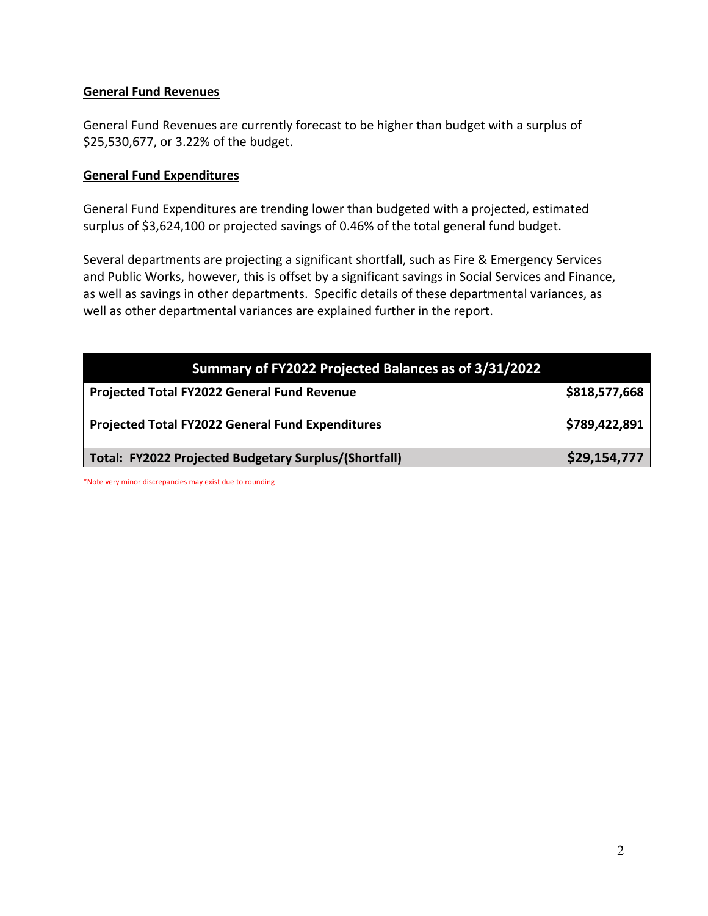### **General Fund Revenues**

General Fund Revenues are currently forecast to be higher than budget with a surplus of \$25,530,677, or 3.22% of the budget.

### **General Fund Expenditures**

General Fund Expenditures are trending lower than budgeted with a projected, estimated surplus of \$3,624,100 or projected savings of 0.46% of the total general fund budget.

Several departments are projecting a significant shortfall, such as Fire & Emergency Services and Public Works, however, this is offset by a significant savings in Social Services and Finance, as well as savings in other departments. Specific details of these departmental variances, as well as other departmental variances are explained further in the report.

| Summary of FY2022 Projected Balances as of 3/31/2022    |               |  |  |  |
|---------------------------------------------------------|---------------|--|--|--|
| Projected Total FY2022 General Fund Revenue             | \$818,577,668 |  |  |  |
| <b>Projected Total FY2022 General Fund Expenditures</b> | \$789,422,891 |  |  |  |
| Total: FY2022 Projected Budgetary Surplus/(Shortfall)   | \$29,154,777  |  |  |  |

\*Note very minor discrepancies may exist due to rounding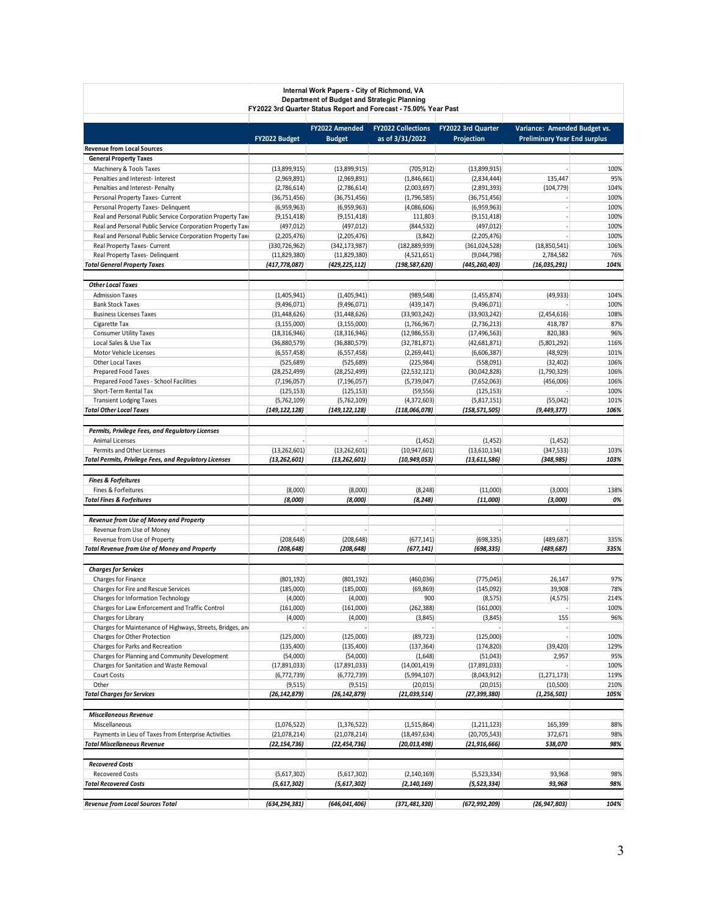| Internal Work Papers - City of Richmond, VA<br>Department of Budget and Strategic Planning<br>FY2022 3rd Quarter Status Report and Forecast - 75.00% Year Past |                                |                                 |                                              |                                  |                                                                     |              |  |
|----------------------------------------------------------------------------------------------------------------------------------------------------------------|--------------------------------|---------------------------------|----------------------------------------------|----------------------------------|---------------------------------------------------------------------|--------------|--|
|                                                                                                                                                                | FY2022 Budget                  | FY2022 Amended<br><b>Budget</b> | <b>FY2022 Collections</b><br>as of 3/31/2022 | FY2022 3rd Quarter<br>Projection | Variance: Amended Budget vs.<br><b>Preliminary Year End surplus</b> |              |  |
| <b>Revenue from Local Sources</b>                                                                                                                              |                                |                                 |                                              |                                  |                                                                     |              |  |
| <b>General Property Taxes</b>                                                                                                                                  |                                |                                 |                                              |                                  |                                                                     |              |  |
| Machinery & Tools Taxes                                                                                                                                        | (13,899,915)                   | (13,899,915)                    | (705, 912)                                   | (13,899,915)                     |                                                                     | 100%         |  |
| Penalties and Interest- Interest                                                                                                                               | (2,969,891)                    | (2,969,891)                     | (1,846,661)                                  | (2,834,444)                      | 135,447                                                             | 95%          |  |
| Penalties and Interest- Penalty                                                                                                                                | (2,786,614)                    | (2,786,614)                     | (2,003,697)                                  | (2,891,393)                      | (104, 779)                                                          | 104%         |  |
| Personal Property Taxes- Current                                                                                                                               | (36, 751, 456)                 | (36, 751, 456)                  | (1,796,585)                                  | (36, 751, 456)                   |                                                                     | 100%         |  |
| Personal Property Taxes- Delinquent                                                                                                                            | (6,959,963)                    | (6,959,963)                     | (4,086,606)                                  | (6,959,963)                      |                                                                     | 100%         |  |
| Real and Personal Public Service Corporation Property Tax<br>Real and Personal Public Service Corporation Property Tax                                         | (9, 151, 418)                  | (9, 151, 418)                   | 111,803                                      | (9, 151, 418)                    |                                                                     | 100%<br>100% |  |
| Real and Personal Public Service Corporation Property Tax                                                                                                      | (497, 012)<br>(2,205,476)      | (497, 012)<br>(2,205,476)       | (844, 532)<br>(3,842)                        | (497, 012)<br>(2,205,476)        |                                                                     | 100%         |  |
| Real Property Taxes- Current                                                                                                                                   | (330, 726, 962)                | (342, 173, 987)                 | (182, 889, 939)                              | (361,024,528)                    | (18, 850, 541)                                                      | 106%         |  |
| Real Property Taxes- Delinquent                                                                                                                                | (11,829,380)                   | (11,829,380)                    | (4,521,651)                                  | (9,044,798)                      | 2,784,582                                                           | 76%          |  |
| <b>Total General Property Taxes</b>                                                                                                                            | (417,778,087)                  | (429,225,112)                   | (198, 587, 620)                              | (445,260,403)                    | (16, 035, 291)                                                      | 104%         |  |
|                                                                                                                                                                |                                |                                 |                                              |                                  |                                                                     |              |  |
| <b>Other Local Taxes</b>                                                                                                                                       |                                |                                 |                                              |                                  |                                                                     |              |  |
| <b>Admission Taxes</b>                                                                                                                                         | (1,405,941)                    | (1,405,941)                     | (989, 548)                                   | (1,455,874)                      | (49, 933)                                                           | 104%         |  |
| <b>Bank Stock Taxes</b>                                                                                                                                        | (9,496,071)                    | (9,496,071)                     | (439, 147)                                   | (9,496,071)                      |                                                                     | 100%         |  |
| <b>Business Licenses Taxes</b>                                                                                                                                 | (31, 448, 626)                 | (31, 448, 626)                  | (33,903,242)                                 | (33,903,242)                     | (2,454,616)                                                         | 108%         |  |
| Cigarette Tax                                                                                                                                                  | (3, 155, 000)                  | (3, 155, 000)                   | (1,766,967)                                  | (2,736,213)                      | 418,787                                                             | 87%          |  |
| <b>Consumer Utility Taxes</b>                                                                                                                                  | (18, 316, 946)                 | (18, 316, 946)                  | (12, 986, 553)                               | (17, 496, 563)                   | 820,383                                                             | 96%          |  |
| Local Sales & Use Tax                                                                                                                                          | (36,880,579)                   | (36,880,579)                    | (32, 781, 871)                               | (42,681,871)                     | (5,801,292)                                                         | 116%         |  |
| Motor Vehicle Licenses                                                                                                                                         | (6,557,458)                    | (6,557,458)                     | (2,269,441)                                  | (6,606,387)                      | (48, 929)                                                           | 101%         |  |
| Other Local Taxes                                                                                                                                              | (525, 689)                     | (525, 689)                      | (225, 984)                                   | (558,091)                        | (32, 402)                                                           | 106%<br>106% |  |
| Prepared Food Taxes<br>Prepared Food Taxes - School Facilities                                                                                                 | (28, 252, 499)                 | (28, 252, 499)<br>(7, 196, 057) | (22, 532, 121)                               | (30,042,828)                     | (1,790,329)<br>(456,006)                                            | 106%         |  |
| Short-Term Rental Tax                                                                                                                                          | (7, 196, 057)<br>(125, 153)    | (125, 153)                      | (5,739,047)<br>(59, 556)                     | (7,652,063)<br>(125, 153)        |                                                                     | 100%         |  |
| <b>Transient Lodging Taxes</b>                                                                                                                                 | (5,762,109)                    | (5,762,109)                     | (4,372,603)                                  | (5,817,151)                      | (55,042)                                                            | 101%         |  |
| <b>Total Other Local Taxes</b>                                                                                                                                 | (149, 122, 128)                | (149, 122, 128)                 | (118,066,078)                                | (158, 571, 505)                  | (9,449,377)                                                         | 106%         |  |
|                                                                                                                                                                |                                |                                 |                                              |                                  |                                                                     |              |  |
| Permits, Privilege Fees, and Regulatory Licenses                                                                                                               |                                |                                 |                                              |                                  |                                                                     |              |  |
| Animal Licenses                                                                                                                                                |                                |                                 | (1, 452)                                     | (1, 452)                         | (1, 452)                                                            |              |  |
| Permits and Other Licenses                                                                                                                                     | (13, 262, 601)                 | (13, 262, 601)                  | (10, 947, 601)                               | (13,610,134)                     | (347, 533)                                                          | 103%         |  |
| <b>Total Permits, Privilege Fees, and Regulatory Licenses</b>                                                                                                  | (13, 262, 601)                 | (13, 262, 601)                  | (10, 949, 053)                               | (13, 611, 586)                   | (348, 985)                                                          | 103%         |  |
|                                                                                                                                                                |                                |                                 |                                              |                                  |                                                                     |              |  |
| <b>Fines &amp; Forfeitures</b><br>Fines & Forfeitures                                                                                                          | (8,000)                        | (8,000)                         | (8, 248)                                     | (11,000)                         | (3,000)                                                             | 138%         |  |
| <b>Total Fines &amp; Forfeitures</b>                                                                                                                           | (8,000)                        | (8,000)                         | (8, 248)                                     | (11,000)                         | (3,000)                                                             | 0%           |  |
|                                                                                                                                                                |                                |                                 |                                              |                                  |                                                                     |              |  |
| Revenue from Use of Money and Property                                                                                                                         |                                |                                 |                                              |                                  |                                                                     |              |  |
| Revenue from Use of Money                                                                                                                                      |                                |                                 |                                              |                                  |                                                                     |              |  |
| Revenue from Use of Property                                                                                                                                   | (208, 648)                     | (208, 648)                      | (677, 141)                                   | (698, 335)                       | (489, 687)                                                          | 335%         |  |
| <b>Total Revenue from Use of Money and Property</b>                                                                                                            | (208,648)                      | (208, 648)                      | (677,141)                                    | (698,335)                        | (489,687)                                                           | 335%         |  |
|                                                                                                                                                                |                                |                                 |                                              |                                  |                                                                     |              |  |
| <b>Charges for Services</b>                                                                                                                                    |                                |                                 |                                              |                                  |                                                                     |              |  |
| Charges for Finance                                                                                                                                            | (801, 192)                     | (801, 192)                      | (460, 036)                                   | (775, 045)                       | 26,147                                                              | 97%          |  |
| Charges for Fire and Rescue Services<br>Charges for Information Technology                                                                                     | (185,000)<br>(4,000)           | (185,000)<br>(4,000)            | (69, 869)<br>900                             | (145,092)<br>(8,575)             | 39,908<br>(4, 575)                                                  | 78%<br>214%  |  |
| Charges for Law Enforcement and Traffic Control                                                                                                                | (161,000)                      | (161,000)                       | (262, 388)                                   | (161,000)                        |                                                                     | 100%         |  |
| Charges for Library                                                                                                                                            | (4,000)                        | (4,000)                         | (3,845)                                      | (3,845)                          | 155                                                                 | 96%          |  |
| Charges for Maintenance of Highways, Streets, Bridges, and                                                                                                     |                                |                                 |                                              |                                  |                                                                     |              |  |
| Charges for Other Protection                                                                                                                                   | (125,000)                      | (125,000)                       | (89, 723)                                    | (125,000)                        |                                                                     | 100%         |  |
| Charges for Parks and Recreation                                                                                                                               | (135, 400)                     | (135, 400)                      | (137, 364)                                   | (174, 820)                       | (39, 420)                                                           | 129%         |  |
| Charges for Planning and Community Development                                                                                                                 | (54,000)                       | (54,000)                        | (1,648)                                      | (51,043)                         | 2,957                                                               | 95%          |  |
| Charges for Sanitation and Waste Removal                                                                                                                       | (17,891,033)                   | (17,891,033)                    | (14,001,419)                                 | (17,891,033)                     |                                                                     | 100%         |  |
| Court Costs                                                                                                                                                    | (6,772,739)                    | (6, 772, 739)                   | (5,994,107)                                  | (8,043,912)                      | (1, 271, 173)                                                       | 119%         |  |
| Other                                                                                                                                                          | (9,515)                        | (9,515)                         | (20, 015)                                    | (20, 015)                        | (10, 500)                                                           | 210%         |  |
| <b>Total Charges for Services</b>                                                                                                                              | (26, 142, 879)                 | (26,142,879)                    | (21,039,514)                                 | (27, 399, 380)                   | (1,256,501)                                                         | 105%         |  |
|                                                                                                                                                                |                                |                                 |                                              |                                  |                                                                     |              |  |
| Miscellaneous Revenue                                                                                                                                          |                                |                                 |                                              |                                  |                                                                     |              |  |
| Miscellaneous<br>Payments in Lieu of Taxes from Enterprise Activities                                                                                          | (1,076,522)                    | (1,376,522)<br>(21,078,214)     | (1,515,864)                                  | (1, 211, 123)                    | 165,399<br>372,671                                                  | 88%<br>98%   |  |
| <b>Total Miscellaneous Revenue</b>                                                                                                                             | (21,078,214)<br>(22, 154, 736) | (22, 454, 736)                  | (18, 497, 634)<br>(20, 013, 498)             | (20, 705, 543)<br>(21, 916, 666) | 538,070                                                             | 98%          |  |
|                                                                                                                                                                |                                |                                 |                                              |                                  |                                                                     |              |  |
| <b>Recovered Costs</b>                                                                                                                                         |                                |                                 |                                              |                                  |                                                                     |              |  |
| <b>Recovered Costs</b>                                                                                                                                         | (5,617,302)                    | (5,617,302)                     | (2, 140, 169)                                | (5,523,334)                      | 93,968                                                              | 98%          |  |
| <b>Total Recovered Costs</b>                                                                                                                                   | (5, 617, 302)                  | (5, 617, 302)                   | (2, 140, 169)                                | (5, 523, 334)                    | 93,968                                                              | 98%          |  |
|                                                                                                                                                                |                                |                                 |                                              |                                  |                                                                     |              |  |
| Revenue from Local Sources Total                                                                                                                               | (634,294,381)                  | (646,041,406)                   | (371,481,320)                                | (672,992,209)                    | (26, 947, 803)                                                      | 104%         |  |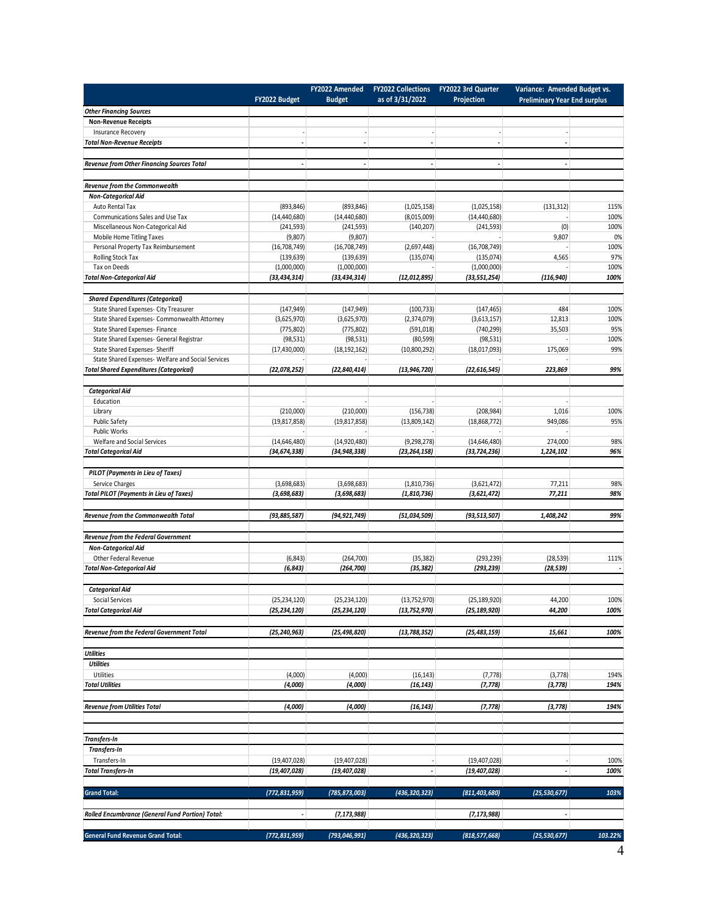|                                                                                   | FY2022 Budget                  | FY2022 Amended<br><b>Budget</b>  | <b>FY2022 Collections</b><br>as of 3/31/2022 | FY2022 3rd Quarter<br>Projection | Variance: Amended Budget vs.<br><b>Preliminary Year End surplus</b> |                          |
|-----------------------------------------------------------------------------------|--------------------------------|----------------------------------|----------------------------------------------|----------------------------------|---------------------------------------------------------------------|--------------------------|
| <b>Other Financing Sources</b>                                                    |                                |                                  |                                              |                                  |                                                                     |                          |
| <b>Non-Revenue Receipts</b>                                                       |                                |                                  |                                              |                                  |                                                                     |                          |
| <b>Insurance Recovery</b>                                                         |                                | ÷,                               | ÷.                                           |                                  |                                                                     |                          |
| <b>Total Non-Revenue Receipts</b>                                                 | $\overline{\phantom{a}}$       | ä,                               | $\overline{\phantom{a}}$                     |                                  |                                                                     |                          |
| Revenue from Other Financing Sources Total                                        | $\blacksquare$                 | ä,                               | $\blacksquare$                               | $\omega$                         | $\blacksquare$                                                      |                          |
| Revenue from the Commonwealth                                                     |                                |                                  |                                              |                                  |                                                                     |                          |
| Non-Categorical Aid                                                               |                                |                                  |                                              |                                  |                                                                     |                          |
| Auto Rental Tax                                                                   | (893, 846)                     | (893, 846)                       | (1,025,158)                                  | (1,025,158)                      | (131, 312)                                                          | 115%                     |
| Communications Sales and Use Tax                                                  | (14, 440, 680)                 | (14, 440, 680)                   | (8,015,009)                                  | (14, 440, 680)                   |                                                                     | 100%                     |
| Miscellaneous Non-Categorical Aid                                                 | (241, 593)                     | (241, 593)                       | (140, 207)                                   | (241, 593)                       | (0)                                                                 | 100%                     |
| Mobile Home Titling Taxes                                                         | (9,807)                        | (9,807)                          |                                              |                                  | 9,807                                                               | 0%                       |
| Personal Property Tax Reimbursement                                               | (16,708,749)                   | (16, 708, 749)                   | (2,697,448)                                  | (16,708,749)                     |                                                                     | 100%                     |
| Rolling Stock Tax                                                                 | (139, 639)                     | (139, 639)                       | (135, 074)                                   | (135,074)                        | 4,565                                                               | 97%                      |
| Tax on Deeds                                                                      | (1,000,000)                    | (1,000,000)                      |                                              | (1,000,000)                      |                                                                     | 100%                     |
| <b>Total Non-Categorical Aid</b>                                                  | (33,434,314)                   | (33, 434, 314)                   | (12,012,895)                                 | (33, 551, 254)                   | (116, 940)                                                          | 100%                     |
|                                                                                   |                                |                                  |                                              |                                  |                                                                     |                          |
| <b>Shared Expenditures (Categorical)</b><br>State Shared Expenses- City Treasurer | (147, 949)                     | (147, 949)                       | (100, 733)                                   | (147, 465)                       | 484                                                                 | 100%                     |
| State Shared Expenses- Commonwealth Attorney                                      | (3,625,970)                    | (3,625,970)                      | (2,374,079)                                  | (3,613,157)                      | 12,813                                                              | 100%                     |
| State Shared Expenses- Finance                                                    | (775, 802)                     | (775, 802)                       | (591, 018)                                   | (740, 299)                       | 35,503                                                              | 95%                      |
| State Shared Expenses- General Registrar                                          | (98, 531)                      | (98, 531)                        | (80, 599)                                    | (98, 531)                        |                                                                     | 100%                     |
| State Shared Expenses- Sheriff                                                    | (17, 430, 000)                 | (18, 192, 162)                   | (10,800,292)                                 | (18,017,093)                     | 175,069                                                             | 99%                      |
| State Shared Expenses- Welfare and Social Services                                |                                |                                  |                                              |                                  |                                                                     |                          |
| <b>Total Shared Expenditures (Categorical)</b>                                    | (22, 078, 252)                 | (22, 840, 414)                   | (13,946,720)                                 | (22, 616, 545)                   | 223,869                                                             | 99%                      |
|                                                                                   |                                |                                  |                                              |                                  |                                                                     |                          |
| <b>Categorical Aid</b><br>Education                                               |                                |                                  |                                              |                                  |                                                                     |                          |
| Library                                                                           | (210,000)                      | (210,000)                        | (156, 738)                                   | (208, 984)                       | 1,016                                                               | 100%                     |
| <b>Public Safety</b>                                                              | (19, 817, 858)                 | (19, 817, 858)                   | (13,809,142)                                 | (18, 868, 772)                   | 949,086                                                             | 95%                      |
| Public Works                                                                      |                                |                                  |                                              |                                  |                                                                     |                          |
| Welfare and Social Services                                                       | (14,646,480)                   | (14,920,480)                     | (9, 298, 278)                                | (14,646,480)                     | 274,000                                                             | 98%                      |
| <b>Total Categorical Aid</b>                                                      | (34,674,338)                   | (34, 948, 338)                   | (23, 264, 158)                               | (33, 724, 236)                   | 1,224,102                                                           | 96%                      |
|                                                                                   |                                |                                  |                                              |                                  |                                                                     |                          |
| <b>PILOT (Payments in Lieu of Taxes)</b>                                          |                                |                                  |                                              |                                  |                                                                     |                          |
| Service Charges                                                                   | (3,698,683)                    | (3,698,683)                      | (1,810,736)                                  | (3,621,472)                      | 77,211<br>77,211                                                    | 98%<br>98%               |
| <b>Total PILOT (Payments in Lieu of Taxes)</b>                                    | (3,698,683)                    | (3,698,683)                      | (1, 810, 736)                                | (3,621,472)                      |                                                                     |                          |
| Revenue from the Commonwealth Total                                               | (93, 885, 587)                 | (94, 921, 749)                   | (51,034,509)                                 | (93, 513, 507)                   | 1,408,242                                                           | 99%                      |
| <b>Revenue from the Federal Government</b>                                        |                                |                                  |                                              |                                  |                                                                     |                          |
| <b>Non-Categorical Aid</b>                                                        |                                |                                  |                                              |                                  |                                                                     |                          |
| Other Federal Revenue                                                             | (6, 843)                       | (264,700)                        | (35, 382)                                    | (293, 239)                       | (28, 539)                                                           | 111%                     |
| <b>Total Non-Categorical Aid</b>                                                  | (6, 843)                       | (264, 700)                       | (35, 382)                                    | (293, 239)                       | (28, 539)                                                           | $\overline{\phantom{a}}$ |
|                                                                                   |                                |                                  |                                              |                                  |                                                                     |                          |
| <b>Categorical Aid</b><br>Social Services                                         |                                |                                  |                                              |                                  |                                                                     | 100%                     |
| <b>Total Categorical Aid</b>                                                      | (25, 234, 120)<br>(25,234,120) | (25, 234, 120)<br>(25, 234, 120) | (13,752,970)<br>(13, 752, 970)               | (25, 189, 920)<br>(25, 189, 920) | 44,200<br>44,200                                                    | 100%                     |
|                                                                                   |                                |                                  |                                              |                                  |                                                                     |                          |
| Revenue from the Federal Government Total                                         | (25, 240, 963)                 | (25, 498, 820)                   | (13, 788, 352)                               | (25, 483, 159)                   | 15,661                                                              | 100%                     |
| <b>Utilities</b>                                                                  |                                |                                  |                                              |                                  |                                                                     |                          |
| <b>Utilities</b>                                                                  |                                |                                  |                                              |                                  |                                                                     |                          |
| Utilities                                                                         | (4,000)                        | (4,000)                          | (16, 143)                                    | (7, 778)                         | (3,778)                                                             | 194%                     |
| <b>Total Utilities</b>                                                            | (4,000)                        | (4,000)                          | (16, 143)                                    | (7, 778)                         | (3, 778)                                                            | 194%                     |
|                                                                                   |                                |                                  |                                              |                                  |                                                                     |                          |
| <b>Revenue from Utilities Total</b>                                               | (4,000)                        | (4,000)                          | (16, 143)                                    | (7, 778)                         | (3, 778)                                                            | 194%                     |
| <b>Transfers-In</b>                                                               |                                |                                  |                                              |                                  |                                                                     |                          |
| <b>Transfers-In</b>                                                               |                                |                                  |                                              |                                  |                                                                     |                          |
| Transfers-In                                                                      | (19, 407, 028)                 | (19,407,028)                     |                                              | (19, 407, 028)                   |                                                                     | 100%                     |
| <b>Total Transfers-In</b>                                                         | (19, 407, 028)                 | (19, 407, 028)                   | $\overline{\phantom{a}}$                     | (19, 407, 028)                   | $\blacksquare$                                                      | 100%                     |
|                                                                                   |                                |                                  |                                              |                                  |                                                                     |                          |
| <b>Grand Total:</b>                                                               | (772, 831, 959)                | (785, 873, 003)                  | (436, 320, 323)                              | (811, 403, 680)                  | (25, 530, 677)                                                      | 103%                     |
| Rolled Encumbrance (General Fund Portion) Total:                                  | $\bullet$                      | (7, 173, 988)                    |                                              | (7, 173, 988)                    | $\overline{\phantom{a}}$                                            |                          |
|                                                                                   |                                |                                  |                                              |                                  |                                                                     |                          |
| <b>General Fund Revenue Grand Total:</b>                                          | (772, 831, 959)                | (793,046,991)                    | (436, 320, 323)                              | (818, 577, 668)                  | (25, 530, 677)                                                      | 103.22%                  |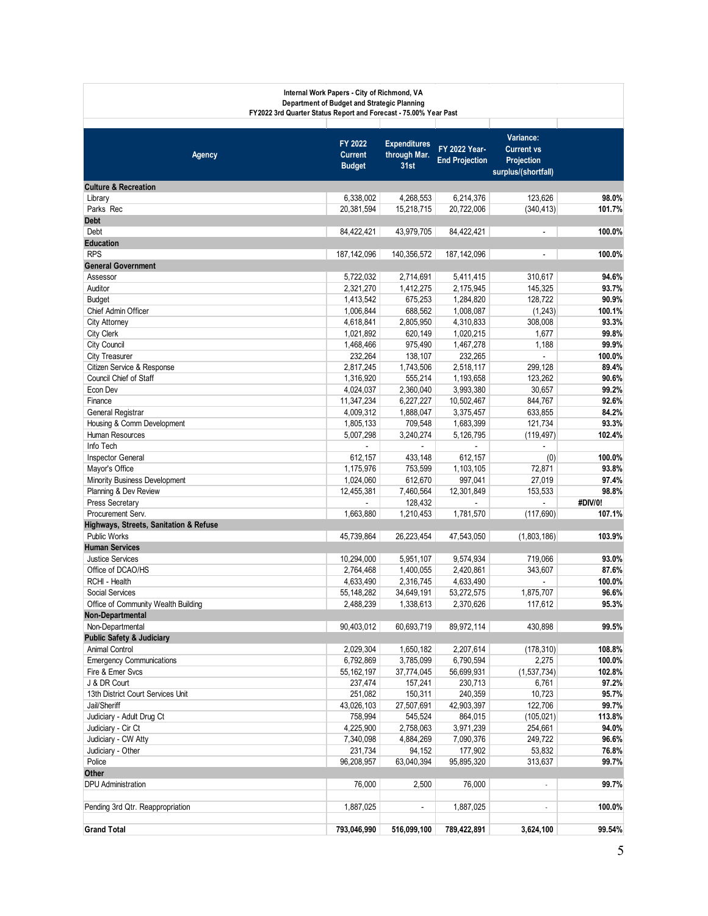| Variance:<br>FY 2022<br><b>Expenditures</b><br>FY 2022 Year-<br><b>Current vs</b><br>through Mar.<br><b>Current</b><br><b>Agency</b><br><b>End Projection</b><br>Projection<br>31st<br><b>Budget</b><br>surplus/(shortfall)<br><b>Culture &amp; Recreation</b><br>6,338,002<br>4,268,553<br>123,626<br>98.0%<br>Library<br>6,214,376<br>Parks Rec<br>20,381,594<br>15,218,715<br>20,722,006<br>(340, 413)<br>101.7%<br><b>Debt</b><br>Debt<br>100.0%<br>84,422,421<br>43,979,705<br>84,422,421<br>$\blacksquare$<br><b>Education</b><br><b>RPS</b><br>187, 142, 096<br>140,356,572<br>187, 142, 096<br>100.0%<br><b>General Government</b><br>Assessor<br>5,722,032<br>2,714,691<br>5,411,415<br>310,617<br>94.6%<br>Auditor<br>2,321,270<br>1,412,275<br>2,175,945<br>145,325<br>93.7%<br><b>Budget</b><br>128,722<br>90.9%<br>1,413,542<br>675,253<br>1,284,820<br>Chief Admin Officer<br>1,006,844<br>688,562<br>1,008,087<br>(1, 243)<br>100.1%<br>4,618,841<br>2,805,950<br>4,310,833<br>308.008<br>93.3%<br>City Attorney<br>City Clerk<br>620,149<br>99.8%<br>1,021,892<br>1,020,215<br>1,677<br><b>City Council</b><br>1,468,466<br>975,490<br>1,188<br>99.9%<br>1,467,278<br>232,264<br>138,107<br>232,265<br>100.0%<br><b>City Treasurer</b><br>Citizen Service & Response<br>2,817,245<br>1,743,506<br>2,518,117<br>89.4%<br>299,128<br>Council Chief of Staff<br>1,316,920<br>555,214<br>1,193,658<br>123,262<br>90.6%<br>Econ Dev<br>2,360,040<br>3,993,380<br>99.2%<br>4,024,037<br>30,657<br>6,227,227<br>92.6%<br>Finance<br>11,347,234<br>10,502,467<br>844,767<br>General Registrar<br>1,888,047<br>84.2%<br>4,009,312<br>3,375,457<br>633,855<br>709,548<br>121,734<br>93.3%<br>Housing & Comm Development<br>1,805,133<br>1,683,399<br><b>Human Resources</b><br>5,007,298<br>3,240,274<br>5,126,795<br>(119, 497)<br>102.4%<br>Info Tech<br>L.<br>100.0%<br>Inspector General<br>612,157<br>433,148<br>612,157<br>(0)<br>Mayor's Office<br>1,175,976<br>753,599<br>1,103,105<br>72,871<br>93.8%<br>612,670<br>997,041<br>Minority Business Development<br>1,024,060<br>27,019<br>97.4%<br>7,460,564<br>98.8%<br>Planning & Dev Review<br>12,455,381<br>12,301,849<br>153,533<br>Press Secretary<br>128,432<br>#DIV/0!<br>Procurement Serv.<br>1,663,880<br>1,210,453<br>1,781,570<br>107.1%<br>(117, 690)<br>Highways, Streets, Sanitation & Refuse<br><b>Public Works</b><br>45,739,864<br>(1,803,186)<br>103.9%<br>26,223,454<br>47,543,050<br><b>Human Services</b><br>10,294,000<br>5,951,107<br>9,574,934<br>93.0%<br><b>Justice Services</b><br>719,066<br>Office of DCAO/HS<br>87.6%<br>2,764,468<br>1,400,055<br>2,420,861<br>343,607<br>RCHI - Health<br>4,633,490<br>2,316,745<br>4,633,490<br>100.0%<br>Social Services<br>96.6%<br>55, 148, 282<br>34,649,191<br>53,272,575<br>1,875,707<br>Office of Community Wealth Building<br>2,488,239<br>1,338,613<br>2,370,626<br>117,612<br>95.3%<br>Non-Departmental<br>Non-Departmental<br>90,403,012<br>60,693,719<br>430,898<br>99.5%<br>89,972,114<br><b>Public Safety &amp; Judiciary</b><br><b>Animal Control</b><br>2,029,304<br>108.8%<br>1,650,182<br>2,207,614<br>(178, 310)<br><b>Emergency Communications</b><br>100.0%<br>6,792,869<br>3,785,099<br>6,790,594<br>2,275<br>102.8%<br>Fire & Emer Svcs<br>55, 162, 197<br>37,774,045<br>56,699,931<br>(1, 537, 734)<br>J & DR Court<br>97.2%<br>237,474<br>157,241<br>230,713<br>6,761<br>13th District Court Services Unit<br>150,311<br>240,359<br>95.7%<br>251,082<br>10,723<br>Jail/Sheriff<br>122,706<br>99.7%<br>43,026,103<br>27,507,691<br>42,903,397<br>113.8%<br>Judiciary - Adult Drug Ct<br>758,994<br>545,524<br>864,015<br>(105, 021)<br>Judiciary - Cir Ct<br>4,225,900<br>2,758,063<br>3,971,239<br>254,661<br>94.0%<br>Judiciary - CW Atty<br>7,340,098<br>96.6%<br>4,884,269<br>7,090,376<br>249,722<br>Judiciary - Other<br>231,734<br>94,152<br>177,902<br>53,832<br>76.8%<br>Police<br>96,208,957<br>63,040,394<br>95,895,320<br>313,637<br>99.7%<br>Other<br>99.7%<br><b>DPU</b> Administration<br>76,000<br>76,000<br>2,500<br>$\mathbb{Z}^{\mathbb{Z}}$<br>100.0%<br>Pending 3rd Qtr. Reappropriation<br>1,887,025<br>1,887,025<br>$\blacksquare$<br>÷.<br>99.54%<br><b>Grand Total</b><br>793,046,990<br>516,099,100<br>789,422,891<br>3,624,100 | Internal Work Papers - City of Richmond, VA<br>Department of Budget and Strategic Planning<br>FY2022 3rd Quarter Status Report and Forecast - 75.00% Year Past |  |  |
|-----------------------------------------------------------------------------------------------------------------------------------------------------------------------------------------------------------------------------------------------------------------------------------------------------------------------------------------------------------------------------------------------------------------------------------------------------------------------------------------------------------------------------------------------------------------------------------------------------------------------------------------------------------------------------------------------------------------------------------------------------------------------------------------------------------------------------------------------------------------------------------------------------------------------------------------------------------------------------------------------------------------------------------------------------------------------------------------------------------------------------------------------------------------------------------------------------------------------------------------------------------------------------------------------------------------------------------------------------------------------------------------------------------------------------------------------------------------------------------------------------------------------------------------------------------------------------------------------------------------------------------------------------------------------------------------------------------------------------------------------------------------------------------------------------------------------------------------------------------------------------------------------------------------------------------------------------------------------------------------------------------------------------------------------------------------------------------------------------------------------------------------------------------------------------------------------------------------------------------------------------------------------------------------------------------------------------------------------------------------------------------------------------------------------------------------------------------------------------------------------------------------------------------------------------------------------------------------------------------------------------------------------------------------------------------------------------------------------------------------------------------------------------------------------------------------------------------------------------------------------------------------------------------------------------------------------------------------------------------------------------------------------------------------------------------------------------------------------------------------------------------------------------------------------------------------------------------------------------------------------------------------------------------------------------------------------------------------------------------------------------------------------------------------------------------------------------------------------------------------------------------------------------------------------------------------------------------------------------------------------------------------------------------------------------------------------------------------------------------------------------------------------------------------------------------------------------------------------------------------------------------------------------------------------------------------------------------------------------------------------------------------------------------------------------------------------------------------------------------------------------------------------------------------------------------------------------------------------------------------------------------------------------------------------------------------|----------------------------------------------------------------------------------------------------------------------------------------------------------------|--|--|
|                                                                                                                                                                                                                                                                                                                                                                                                                                                                                                                                                                                                                                                                                                                                                                                                                                                                                                                                                                                                                                                                                                                                                                                                                                                                                                                                                                                                                                                                                                                                                                                                                                                                                                                                                                                                                                                                                                                                                                                                                                                                                                                                                                                                                                                                                                                                                                                                                                                                                                                                                                                                                                                                                                                                                                                                                                                                                                                                                                                                                                                                                                                                                                                                                                                                                                                                                                                                                                                                                                                                                                                                                                                                                                                                                                                                                                                                                                                                                                                                                                                                                                                                                                                                                                                                                                                 |                                                                                                                                                                |  |  |
|                                                                                                                                                                                                                                                                                                                                                                                                                                                                                                                                                                                                                                                                                                                                                                                                                                                                                                                                                                                                                                                                                                                                                                                                                                                                                                                                                                                                                                                                                                                                                                                                                                                                                                                                                                                                                                                                                                                                                                                                                                                                                                                                                                                                                                                                                                                                                                                                                                                                                                                                                                                                                                                                                                                                                                                                                                                                                                                                                                                                                                                                                                                                                                                                                                                                                                                                                                                                                                                                                                                                                                                                                                                                                                                                                                                                                                                                                                                                                                                                                                                                                                                                                                                                                                                                                                                 |                                                                                                                                                                |  |  |
|                                                                                                                                                                                                                                                                                                                                                                                                                                                                                                                                                                                                                                                                                                                                                                                                                                                                                                                                                                                                                                                                                                                                                                                                                                                                                                                                                                                                                                                                                                                                                                                                                                                                                                                                                                                                                                                                                                                                                                                                                                                                                                                                                                                                                                                                                                                                                                                                                                                                                                                                                                                                                                                                                                                                                                                                                                                                                                                                                                                                                                                                                                                                                                                                                                                                                                                                                                                                                                                                                                                                                                                                                                                                                                                                                                                                                                                                                                                                                                                                                                                                                                                                                                                                                                                                                                                 |                                                                                                                                                                |  |  |
|                                                                                                                                                                                                                                                                                                                                                                                                                                                                                                                                                                                                                                                                                                                                                                                                                                                                                                                                                                                                                                                                                                                                                                                                                                                                                                                                                                                                                                                                                                                                                                                                                                                                                                                                                                                                                                                                                                                                                                                                                                                                                                                                                                                                                                                                                                                                                                                                                                                                                                                                                                                                                                                                                                                                                                                                                                                                                                                                                                                                                                                                                                                                                                                                                                                                                                                                                                                                                                                                                                                                                                                                                                                                                                                                                                                                                                                                                                                                                                                                                                                                                                                                                                                                                                                                                                                 |                                                                                                                                                                |  |  |
|                                                                                                                                                                                                                                                                                                                                                                                                                                                                                                                                                                                                                                                                                                                                                                                                                                                                                                                                                                                                                                                                                                                                                                                                                                                                                                                                                                                                                                                                                                                                                                                                                                                                                                                                                                                                                                                                                                                                                                                                                                                                                                                                                                                                                                                                                                                                                                                                                                                                                                                                                                                                                                                                                                                                                                                                                                                                                                                                                                                                                                                                                                                                                                                                                                                                                                                                                                                                                                                                                                                                                                                                                                                                                                                                                                                                                                                                                                                                                                                                                                                                                                                                                                                                                                                                                                                 |                                                                                                                                                                |  |  |
|                                                                                                                                                                                                                                                                                                                                                                                                                                                                                                                                                                                                                                                                                                                                                                                                                                                                                                                                                                                                                                                                                                                                                                                                                                                                                                                                                                                                                                                                                                                                                                                                                                                                                                                                                                                                                                                                                                                                                                                                                                                                                                                                                                                                                                                                                                                                                                                                                                                                                                                                                                                                                                                                                                                                                                                                                                                                                                                                                                                                                                                                                                                                                                                                                                                                                                                                                                                                                                                                                                                                                                                                                                                                                                                                                                                                                                                                                                                                                                                                                                                                                                                                                                                                                                                                                                                 |                                                                                                                                                                |  |  |
|                                                                                                                                                                                                                                                                                                                                                                                                                                                                                                                                                                                                                                                                                                                                                                                                                                                                                                                                                                                                                                                                                                                                                                                                                                                                                                                                                                                                                                                                                                                                                                                                                                                                                                                                                                                                                                                                                                                                                                                                                                                                                                                                                                                                                                                                                                                                                                                                                                                                                                                                                                                                                                                                                                                                                                                                                                                                                                                                                                                                                                                                                                                                                                                                                                                                                                                                                                                                                                                                                                                                                                                                                                                                                                                                                                                                                                                                                                                                                                                                                                                                                                                                                                                                                                                                                                                 |                                                                                                                                                                |  |  |
|                                                                                                                                                                                                                                                                                                                                                                                                                                                                                                                                                                                                                                                                                                                                                                                                                                                                                                                                                                                                                                                                                                                                                                                                                                                                                                                                                                                                                                                                                                                                                                                                                                                                                                                                                                                                                                                                                                                                                                                                                                                                                                                                                                                                                                                                                                                                                                                                                                                                                                                                                                                                                                                                                                                                                                                                                                                                                                                                                                                                                                                                                                                                                                                                                                                                                                                                                                                                                                                                                                                                                                                                                                                                                                                                                                                                                                                                                                                                                                                                                                                                                                                                                                                                                                                                                                                 |                                                                                                                                                                |  |  |
|                                                                                                                                                                                                                                                                                                                                                                                                                                                                                                                                                                                                                                                                                                                                                                                                                                                                                                                                                                                                                                                                                                                                                                                                                                                                                                                                                                                                                                                                                                                                                                                                                                                                                                                                                                                                                                                                                                                                                                                                                                                                                                                                                                                                                                                                                                                                                                                                                                                                                                                                                                                                                                                                                                                                                                                                                                                                                                                                                                                                                                                                                                                                                                                                                                                                                                                                                                                                                                                                                                                                                                                                                                                                                                                                                                                                                                                                                                                                                                                                                                                                                                                                                                                                                                                                                                                 |                                                                                                                                                                |  |  |
|                                                                                                                                                                                                                                                                                                                                                                                                                                                                                                                                                                                                                                                                                                                                                                                                                                                                                                                                                                                                                                                                                                                                                                                                                                                                                                                                                                                                                                                                                                                                                                                                                                                                                                                                                                                                                                                                                                                                                                                                                                                                                                                                                                                                                                                                                                                                                                                                                                                                                                                                                                                                                                                                                                                                                                                                                                                                                                                                                                                                                                                                                                                                                                                                                                                                                                                                                                                                                                                                                                                                                                                                                                                                                                                                                                                                                                                                                                                                                                                                                                                                                                                                                                                                                                                                                                                 |                                                                                                                                                                |  |  |
|                                                                                                                                                                                                                                                                                                                                                                                                                                                                                                                                                                                                                                                                                                                                                                                                                                                                                                                                                                                                                                                                                                                                                                                                                                                                                                                                                                                                                                                                                                                                                                                                                                                                                                                                                                                                                                                                                                                                                                                                                                                                                                                                                                                                                                                                                                                                                                                                                                                                                                                                                                                                                                                                                                                                                                                                                                                                                                                                                                                                                                                                                                                                                                                                                                                                                                                                                                                                                                                                                                                                                                                                                                                                                                                                                                                                                                                                                                                                                                                                                                                                                                                                                                                                                                                                                                                 |                                                                                                                                                                |  |  |
|                                                                                                                                                                                                                                                                                                                                                                                                                                                                                                                                                                                                                                                                                                                                                                                                                                                                                                                                                                                                                                                                                                                                                                                                                                                                                                                                                                                                                                                                                                                                                                                                                                                                                                                                                                                                                                                                                                                                                                                                                                                                                                                                                                                                                                                                                                                                                                                                                                                                                                                                                                                                                                                                                                                                                                                                                                                                                                                                                                                                                                                                                                                                                                                                                                                                                                                                                                                                                                                                                                                                                                                                                                                                                                                                                                                                                                                                                                                                                                                                                                                                                                                                                                                                                                                                                                                 |                                                                                                                                                                |  |  |
|                                                                                                                                                                                                                                                                                                                                                                                                                                                                                                                                                                                                                                                                                                                                                                                                                                                                                                                                                                                                                                                                                                                                                                                                                                                                                                                                                                                                                                                                                                                                                                                                                                                                                                                                                                                                                                                                                                                                                                                                                                                                                                                                                                                                                                                                                                                                                                                                                                                                                                                                                                                                                                                                                                                                                                                                                                                                                                                                                                                                                                                                                                                                                                                                                                                                                                                                                                                                                                                                                                                                                                                                                                                                                                                                                                                                                                                                                                                                                                                                                                                                                                                                                                                                                                                                                                                 |                                                                                                                                                                |  |  |
|                                                                                                                                                                                                                                                                                                                                                                                                                                                                                                                                                                                                                                                                                                                                                                                                                                                                                                                                                                                                                                                                                                                                                                                                                                                                                                                                                                                                                                                                                                                                                                                                                                                                                                                                                                                                                                                                                                                                                                                                                                                                                                                                                                                                                                                                                                                                                                                                                                                                                                                                                                                                                                                                                                                                                                                                                                                                                                                                                                                                                                                                                                                                                                                                                                                                                                                                                                                                                                                                                                                                                                                                                                                                                                                                                                                                                                                                                                                                                                                                                                                                                                                                                                                                                                                                                                                 |                                                                                                                                                                |  |  |
|                                                                                                                                                                                                                                                                                                                                                                                                                                                                                                                                                                                                                                                                                                                                                                                                                                                                                                                                                                                                                                                                                                                                                                                                                                                                                                                                                                                                                                                                                                                                                                                                                                                                                                                                                                                                                                                                                                                                                                                                                                                                                                                                                                                                                                                                                                                                                                                                                                                                                                                                                                                                                                                                                                                                                                                                                                                                                                                                                                                                                                                                                                                                                                                                                                                                                                                                                                                                                                                                                                                                                                                                                                                                                                                                                                                                                                                                                                                                                                                                                                                                                                                                                                                                                                                                                                                 |                                                                                                                                                                |  |  |
|                                                                                                                                                                                                                                                                                                                                                                                                                                                                                                                                                                                                                                                                                                                                                                                                                                                                                                                                                                                                                                                                                                                                                                                                                                                                                                                                                                                                                                                                                                                                                                                                                                                                                                                                                                                                                                                                                                                                                                                                                                                                                                                                                                                                                                                                                                                                                                                                                                                                                                                                                                                                                                                                                                                                                                                                                                                                                                                                                                                                                                                                                                                                                                                                                                                                                                                                                                                                                                                                                                                                                                                                                                                                                                                                                                                                                                                                                                                                                                                                                                                                                                                                                                                                                                                                                                                 |                                                                                                                                                                |  |  |
|                                                                                                                                                                                                                                                                                                                                                                                                                                                                                                                                                                                                                                                                                                                                                                                                                                                                                                                                                                                                                                                                                                                                                                                                                                                                                                                                                                                                                                                                                                                                                                                                                                                                                                                                                                                                                                                                                                                                                                                                                                                                                                                                                                                                                                                                                                                                                                                                                                                                                                                                                                                                                                                                                                                                                                                                                                                                                                                                                                                                                                                                                                                                                                                                                                                                                                                                                                                                                                                                                                                                                                                                                                                                                                                                                                                                                                                                                                                                                                                                                                                                                                                                                                                                                                                                                                                 |                                                                                                                                                                |  |  |
|                                                                                                                                                                                                                                                                                                                                                                                                                                                                                                                                                                                                                                                                                                                                                                                                                                                                                                                                                                                                                                                                                                                                                                                                                                                                                                                                                                                                                                                                                                                                                                                                                                                                                                                                                                                                                                                                                                                                                                                                                                                                                                                                                                                                                                                                                                                                                                                                                                                                                                                                                                                                                                                                                                                                                                                                                                                                                                                                                                                                                                                                                                                                                                                                                                                                                                                                                                                                                                                                                                                                                                                                                                                                                                                                                                                                                                                                                                                                                                                                                                                                                                                                                                                                                                                                                                                 |                                                                                                                                                                |  |  |
|                                                                                                                                                                                                                                                                                                                                                                                                                                                                                                                                                                                                                                                                                                                                                                                                                                                                                                                                                                                                                                                                                                                                                                                                                                                                                                                                                                                                                                                                                                                                                                                                                                                                                                                                                                                                                                                                                                                                                                                                                                                                                                                                                                                                                                                                                                                                                                                                                                                                                                                                                                                                                                                                                                                                                                                                                                                                                                                                                                                                                                                                                                                                                                                                                                                                                                                                                                                                                                                                                                                                                                                                                                                                                                                                                                                                                                                                                                                                                                                                                                                                                                                                                                                                                                                                                                                 |                                                                                                                                                                |  |  |
|                                                                                                                                                                                                                                                                                                                                                                                                                                                                                                                                                                                                                                                                                                                                                                                                                                                                                                                                                                                                                                                                                                                                                                                                                                                                                                                                                                                                                                                                                                                                                                                                                                                                                                                                                                                                                                                                                                                                                                                                                                                                                                                                                                                                                                                                                                                                                                                                                                                                                                                                                                                                                                                                                                                                                                                                                                                                                                                                                                                                                                                                                                                                                                                                                                                                                                                                                                                                                                                                                                                                                                                                                                                                                                                                                                                                                                                                                                                                                                                                                                                                                                                                                                                                                                                                                                                 |                                                                                                                                                                |  |  |
|                                                                                                                                                                                                                                                                                                                                                                                                                                                                                                                                                                                                                                                                                                                                                                                                                                                                                                                                                                                                                                                                                                                                                                                                                                                                                                                                                                                                                                                                                                                                                                                                                                                                                                                                                                                                                                                                                                                                                                                                                                                                                                                                                                                                                                                                                                                                                                                                                                                                                                                                                                                                                                                                                                                                                                                                                                                                                                                                                                                                                                                                                                                                                                                                                                                                                                                                                                                                                                                                                                                                                                                                                                                                                                                                                                                                                                                                                                                                                                                                                                                                                                                                                                                                                                                                                                                 |                                                                                                                                                                |  |  |
|                                                                                                                                                                                                                                                                                                                                                                                                                                                                                                                                                                                                                                                                                                                                                                                                                                                                                                                                                                                                                                                                                                                                                                                                                                                                                                                                                                                                                                                                                                                                                                                                                                                                                                                                                                                                                                                                                                                                                                                                                                                                                                                                                                                                                                                                                                                                                                                                                                                                                                                                                                                                                                                                                                                                                                                                                                                                                                                                                                                                                                                                                                                                                                                                                                                                                                                                                                                                                                                                                                                                                                                                                                                                                                                                                                                                                                                                                                                                                                                                                                                                                                                                                                                                                                                                                                                 |                                                                                                                                                                |  |  |
|                                                                                                                                                                                                                                                                                                                                                                                                                                                                                                                                                                                                                                                                                                                                                                                                                                                                                                                                                                                                                                                                                                                                                                                                                                                                                                                                                                                                                                                                                                                                                                                                                                                                                                                                                                                                                                                                                                                                                                                                                                                                                                                                                                                                                                                                                                                                                                                                                                                                                                                                                                                                                                                                                                                                                                                                                                                                                                                                                                                                                                                                                                                                                                                                                                                                                                                                                                                                                                                                                                                                                                                                                                                                                                                                                                                                                                                                                                                                                                                                                                                                                                                                                                                                                                                                                                                 |                                                                                                                                                                |  |  |
|                                                                                                                                                                                                                                                                                                                                                                                                                                                                                                                                                                                                                                                                                                                                                                                                                                                                                                                                                                                                                                                                                                                                                                                                                                                                                                                                                                                                                                                                                                                                                                                                                                                                                                                                                                                                                                                                                                                                                                                                                                                                                                                                                                                                                                                                                                                                                                                                                                                                                                                                                                                                                                                                                                                                                                                                                                                                                                                                                                                                                                                                                                                                                                                                                                                                                                                                                                                                                                                                                                                                                                                                                                                                                                                                                                                                                                                                                                                                                                                                                                                                                                                                                                                                                                                                                                                 |                                                                                                                                                                |  |  |
|                                                                                                                                                                                                                                                                                                                                                                                                                                                                                                                                                                                                                                                                                                                                                                                                                                                                                                                                                                                                                                                                                                                                                                                                                                                                                                                                                                                                                                                                                                                                                                                                                                                                                                                                                                                                                                                                                                                                                                                                                                                                                                                                                                                                                                                                                                                                                                                                                                                                                                                                                                                                                                                                                                                                                                                                                                                                                                                                                                                                                                                                                                                                                                                                                                                                                                                                                                                                                                                                                                                                                                                                                                                                                                                                                                                                                                                                                                                                                                                                                                                                                                                                                                                                                                                                                                                 |                                                                                                                                                                |  |  |
|                                                                                                                                                                                                                                                                                                                                                                                                                                                                                                                                                                                                                                                                                                                                                                                                                                                                                                                                                                                                                                                                                                                                                                                                                                                                                                                                                                                                                                                                                                                                                                                                                                                                                                                                                                                                                                                                                                                                                                                                                                                                                                                                                                                                                                                                                                                                                                                                                                                                                                                                                                                                                                                                                                                                                                                                                                                                                                                                                                                                                                                                                                                                                                                                                                                                                                                                                                                                                                                                                                                                                                                                                                                                                                                                                                                                                                                                                                                                                                                                                                                                                                                                                                                                                                                                                                                 |                                                                                                                                                                |  |  |
|                                                                                                                                                                                                                                                                                                                                                                                                                                                                                                                                                                                                                                                                                                                                                                                                                                                                                                                                                                                                                                                                                                                                                                                                                                                                                                                                                                                                                                                                                                                                                                                                                                                                                                                                                                                                                                                                                                                                                                                                                                                                                                                                                                                                                                                                                                                                                                                                                                                                                                                                                                                                                                                                                                                                                                                                                                                                                                                                                                                                                                                                                                                                                                                                                                                                                                                                                                                                                                                                                                                                                                                                                                                                                                                                                                                                                                                                                                                                                                                                                                                                                                                                                                                                                                                                                                                 |                                                                                                                                                                |  |  |
|                                                                                                                                                                                                                                                                                                                                                                                                                                                                                                                                                                                                                                                                                                                                                                                                                                                                                                                                                                                                                                                                                                                                                                                                                                                                                                                                                                                                                                                                                                                                                                                                                                                                                                                                                                                                                                                                                                                                                                                                                                                                                                                                                                                                                                                                                                                                                                                                                                                                                                                                                                                                                                                                                                                                                                                                                                                                                                                                                                                                                                                                                                                                                                                                                                                                                                                                                                                                                                                                                                                                                                                                                                                                                                                                                                                                                                                                                                                                                                                                                                                                                                                                                                                                                                                                                                                 |                                                                                                                                                                |  |  |
|                                                                                                                                                                                                                                                                                                                                                                                                                                                                                                                                                                                                                                                                                                                                                                                                                                                                                                                                                                                                                                                                                                                                                                                                                                                                                                                                                                                                                                                                                                                                                                                                                                                                                                                                                                                                                                                                                                                                                                                                                                                                                                                                                                                                                                                                                                                                                                                                                                                                                                                                                                                                                                                                                                                                                                                                                                                                                                                                                                                                                                                                                                                                                                                                                                                                                                                                                                                                                                                                                                                                                                                                                                                                                                                                                                                                                                                                                                                                                                                                                                                                                                                                                                                                                                                                                                                 |                                                                                                                                                                |  |  |
|                                                                                                                                                                                                                                                                                                                                                                                                                                                                                                                                                                                                                                                                                                                                                                                                                                                                                                                                                                                                                                                                                                                                                                                                                                                                                                                                                                                                                                                                                                                                                                                                                                                                                                                                                                                                                                                                                                                                                                                                                                                                                                                                                                                                                                                                                                                                                                                                                                                                                                                                                                                                                                                                                                                                                                                                                                                                                                                                                                                                                                                                                                                                                                                                                                                                                                                                                                                                                                                                                                                                                                                                                                                                                                                                                                                                                                                                                                                                                                                                                                                                                                                                                                                                                                                                                                                 |                                                                                                                                                                |  |  |
|                                                                                                                                                                                                                                                                                                                                                                                                                                                                                                                                                                                                                                                                                                                                                                                                                                                                                                                                                                                                                                                                                                                                                                                                                                                                                                                                                                                                                                                                                                                                                                                                                                                                                                                                                                                                                                                                                                                                                                                                                                                                                                                                                                                                                                                                                                                                                                                                                                                                                                                                                                                                                                                                                                                                                                                                                                                                                                                                                                                                                                                                                                                                                                                                                                                                                                                                                                                                                                                                                                                                                                                                                                                                                                                                                                                                                                                                                                                                                                                                                                                                                                                                                                                                                                                                                                                 |                                                                                                                                                                |  |  |
|                                                                                                                                                                                                                                                                                                                                                                                                                                                                                                                                                                                                                                                                                                                                                                                                                                                                                                                                                                                                                                                                                                                                                                                                                                                                                                                                                                                                                                                                                                                                                                                                                                                                                                                                                                                                                                                                                                                                                                                                                                                                                                                                                                                                                                                                                                                                                                                                                                                                                                                                                                                                                                                                                                                                                                                                                                                                                                                                                                                                                                                                                                                                                                                                                                                                                                                                                                                                                                                                                                                                                                                                                                                                                                                                                                                                                                                                                                                                                                                                                                                                                                                                                                                                                                                                                                                 |                                                                                                                                                                |  |  |
|                                                                                                                                                                                                                                                                                                                                                                                                                                                                                                                                                                                                                                                                                                                                                                                                                                                                                                                                                                                                                                                                                                                                                                                                                                                                                                                                                                                                                                                                                                                                                                                                                                                                                                                                                                                                                                                                                                                                                                                                                                                                                                                                                                                                                                                                                                                                                                                                                                                                                                                                                                                                                                                                                                                                                                                                                                                                                                                                                                                                                                                                                                                                                                                                                                                                                                                                                                                                                                                                                                                                                                                                                                                                                                                                                                                                                                                                                                                                                                                                                                                                                                                                                                                                                                                                                                                 |                                                                                                                                                                |  |  |
|                                                                                                                                                                                                                                                                                                                                                                                                                                                                                                                                                                                                                                                                                                                                                                                                                                                                                                                                                                                                                                                                                                                                                                                                                                                                                                                                                                                                                                                                                                                                                                                                                                                                                                                                                                                                                                                                                                                                                                                                                                                                                                                                                                                                                                                                                                                                                                                                                                                                                                                                                                                                                                                                                                                                                                                                                                                                                                                                                                                                                                                                                                                                                                                                                                                                                                                                                                                                                                                                                                                                                                                                                                                                                                                                                                                                                                                                                                                                                                                                                                                                                                                                                                                                                                                                                                                 |                                                                                                                                                                |  |  |
|                                                                                                                                                                                                                                                                                                                                                                                                                                                                                                                                                                                                                                                                                                                                                                                                                                                                                                                                                                                                                                                                                                                                                                                                                                                                                                                                                                                                                                                                                                                                                                                                                                                                                                                                                                                                                                                                                                                                                                                                                                                                                                                                                                                                                                                                                                                                                                                                                                                                                                                                                                                                                                                                                                                                                                                                                                                                                                                                                                                                                                                                                                                                                                                                                                                                                                                                                                                                                                                                                                                                                                                                                                                                                                                                                                                                                                                                                                                                                                                                                                                                                                                                                                                                                                                                                                                 |                                                                                                                                                                |  |  |
|                                                                                                                                                                                                                                                                                                                                                                                                                                                                                                                                                                                                                                                                                                                                                                                                                                                                                                                                                                                                                                                                                                                                                                                                                                                                                                                                                                                                                                                                                                                                                                                                                                                                                                                                                                                                                                                                                                                                                                                                                                                                                                                                                                                                                                                                                                                                                                                                                                                                                                                                                                                                                                                                                                                                                                                                                                                                                                                                                                                                                                                                                                                                                                                                                                                                                                                                                                                                                                                                                                                                                                                                                                                                                                                                                                                                                                                                                                                                                                                                                                                                                                                                                                                                                                                                                                                 |                                                                                                                                                                |  |  |
|                                                                                                                                                                                                                                                                                                                                                                                                                                                                                                                                                                                                                                                                                                                                                                                                                                                                                                                                                                                                                                                                                                                                                                                                                                                                                                                                                                                                                                                                                                                                                                                                                                                                                                                                                                                                                                                                                                                                                                                                                                                                                                                                                                                                                                                                                                                                                                                                                                                                                                                                                                                                                                                                                                                                                                                                                                                                                                                                                                                                                                                                                                                                                                                                                                                                                                                                                                                                                                                                                                                                                                                                                                                                                                                                                                                                                                                                                                                                                                                                                                                                                                                                                                                                                                                                                                                 |                                                                                                                                                                |  |  |
|                                                                                                                                                                                                                                                                                                                                                                                                                                                                                                                                                                                                                                                                                                                                                                                                                                                                                                                                                                                                                                                                                                                                                                                                                                                                                                                                                                                                                                                                                                                                                                                                                                                                                                                                                                                                                                                                                                                                                                                                                                                                                                                                                                                                                                                                                                                                                                                                                                                                                                                                                                                                                                                                                                                                                                                                                                                                                                                                                                                                                                                                                                                                                                                                                                                                                                                                                                                                                                                                                                                                                                                                                                                                                                                                                                                                                                                                                                                                                                                                                                                                                                                                                                                                                                                                                                                 |                                                                                                                                                                |  |  |
|                                                                                                                                                                                                                                                                                                                                                                                                                                                                                                                                                                                                                                                                                                                                                                                                                                                                                                                                                                                                                                                                                                                                                                                                                                                                                                                                                                                                                                                                                                                                                                                                                                                                                                                                                                                                                                                                                                                                                                                                                                                                                                                                                                                                                                                                                                                                                                                                                                                                                                                                                                                                                                                                                                                                                                                                                                                                                                                                                                                                                                                                                                                                                                                                                                                                                                                                                                                                                                                                                                                                                                                                                                                                                                                                                                                                                                                                                                                                                                                                                                                                                                                                                                                                                                                                                                                 |                                                                                                                                                                |  |  |
|                                                                                                                                                                                                                                                                                                                                                                                                                                                                                                                                                                                                                                                                                                                                                                                                                                                                                                                                                                                                                                                                                                                                                                                                                                                                                                                                                                                                                                                                                                                                                                                                                                                                                                                                                                                                                                                                                                                                                                                                                                                                                                                                                                                                                                                                                                                                                                                                                                                                                                                                                                                                                                                                                                                                                                                                                                                                                                                                                                                                                                                                                                                                                                                                                                                                                                                                                                                                                                                                                                                                                                                                                                                                                                                                                                                                                                                                                                                                                                                                                                                                                                                                                                                                                                                                                                                 |                                                                                                                                                                |  |  |
|                                                                                                                                                                                                                                                                                                                                                                                                                                                                                                                                                                                                                                                                                                                                                                                                                                                                                                                                                                                                                                                                                                                                                                                                                                                                                                                                                                                                                                                                                                                                                                                                                                                                                                                                                                                                                                                                                                                                                                                                                                                                                                                                                                                                                                                                                                                                                                                                                                                                                                                                                                                                                                                                                                                                                                                                                                                                                                                                                                                                                                                                                                                                                                                                                                                                                                                                                                                                                                                                                                                                                                                                                                                                                                                                                                                                                                                                                                                                                                                                                                                                                                                                                                                                                                                                                                                 |                                                                                                                                                                |  |  |
|                                                                                                                                                                                                                                                                                                                                                                                                                                                                                                                                                                                                                                                                                                                                                                                                                                                                                                                                                                                                                                                                                                                                                                                                                                                                                                                                                                                                                                                                                                                                                                                                                                                                                                                                                                                                                                                                                                                                                                                                                                                                                                                                                                                                                                                                                                                                                                                                                                                                                                                                                                                                                                                                                                                                                                                                                                                                                                                                                                                                                                                                                                                                                                                                                                                                                                                                                                                                                                                                                                                                                                                                                                                                                                                                                                                                                                                                                                                                                                                                                                                                                                                                                                                                                                                                                                                 |                                                                                                                                                                |  |  |
|                                                                                                                                                                                                                                                                                                                                                                                                                                                                                                                                                                                                                                                                                                                                                                                                                                                                                                                                                                                                                                                                                                                                                                                                                                                                                                                                                                                                                                                                                                                                                                                                                                                                                                                                                                                                                                                                                                                                                                                                                                                                                                                                                                                                                                                                                                                                                                                                                                                                                                                                                                                                                                                                                                                                                                                                                                                                                                                                                                                                                                                                                                                                                                                                                                                                                                                                                                                                                                                                                                                                                                                                                                                                                                                                                                                                                                                                                                                                                                                                                                                                                                                                                                                                                                                                                                                 |                                                                                                                                                                |  |  |
|                                                                                                                                                                                                                                                                                                                                                                                                                                                                                                                                                                                                                                                                                                                                                                                                                                                                                                                                                                                                                                                                                                                                                                                                                                                                                                                                                                                                                                                                                                                                                                                                                                                                                                                                                                                                                                                                                                                                                                                                                                                                                                                                                                                                                                                                                                                                                                                                                                                                                                                                                                                                                                                                                                                                                                                                                                                                                                                                                                                                                                                                                                                                                                                                                                                                                                                                                                                                                                                                                                                                                                                                                                                                                                                                                                                                                                                                                                                                                                                                                                                                                                                                                                                                                                                                                                                 |                                                                                                                                                                |  |  |
|                                                                                                                                                                                                                                                                                                                                                                                                                                                                                                                                                                                                                                                                                                                                                                                                                                                                                                                                                                                                                                                                                                                                                                                                                                                                                                                                                                                                                                                                                                                                                                                                                                                                                                                                                                                                                                                                                                                                                                                                                                                                                                                                                                                                                                                                                                                                                                                                                                                                                                                                                                                                                                                                                                                                                                                                                                                                                                                                                                                                                                                                                                                                                                                                                                                                                                                                                                                                                                                                                                                                                                                                                                                                                                                                                                                                                                                                                                                                                                                                                                                                                                                                                                                                                                                                                                                 |                                                                                                                                                                |  |  |
|                                                                                                                                                                                                                                                                                                                                                                                                                                                                                                                                                                                                                                                                                                                                                                                                                                                                                                                                                                                                                                                                                                                                                                                                                                                                                                                                                                                                                                                                                                                                                                                                                                                                                                                                                                                                                                                                                                                                                                                                                                                                                                                                                                                                                                                                                                                                                                                                                                                                                                                                                                                                                                                                                                                                                                                                                                                                                                                                                                                                                                                                                                                                                                                                                                                                                                                                                                                                                                                                                                                                                                                                                                                                                                                                                                                                                                                                                                                                                                                                                                                                                                                                                                                                                                                                                                                 |                                                                                                                                                                |  |  |
|                                                                                                                                                                                                                                                                                                                                                                                                                                                                                                                                                                                                                                                                                                                                                                                                                                                                                                                                                                                                                                                                                                                                                                                                                                                                                                                                                                                                                                                                                                                                                                                                                                                                                                                                                                                                                                                                                                                                                                                                                                                                                                                                                                                                                                                                                                                                                                                                                                                                                                                                                                                                                                                                                                                                                                                                                                                                                                                                                                                                                                                                                                                                                                                                                                                                                                                                                                                                                                                                                                                                                                                                                                                                                                                                                                                                                                                                                                                                                                                                                                                                                                                                                                                                                                                                                                                 |                                                                                                                                                                |  |  |
|                                                                                                                                                                                                                                                                                                                                                                                                                                                                                                                                                                                                                                                                                                                                                                                                                                                                                                                                                                                                                                                                                                                                                                                                                                                                                                                                                                                                                                                                                                                                                                                                                                                                                                                                                                                                                                                                                                                                                                                                                                                                                                                                                                                                                                                                                                                                                                                                                                                                                                                                                                                                                                                                                                                                                                                                                                                                                                                                                                                                                                                                                                                                                                                                                                                                                                                                                                                                                                                                                                                                                                                                                                                                                                                                                                                                                                                                                                                                                                                                                                                                                                                                                                                                                                                                                                                 |                                                                                                                                                                |  |  |
|                                                                                                                                                                                                                                                                                                                                                                                                                                                                                                                                                                                                                                                                                                                                                                                                                                                                                                                                                                                                                                                                                                                                                                                                                                                                                                                                                                                                                                                                                                                                                                                                                                                                                                                                                                                                                                                                                                                                                                                                                                                                                                                                                                                                                                                                                                                                                                                                                                                                                                                                                                                                                                                                                                                                                                                                                                                                                                                                                                                                                                                                                                                                                                                                                                                                                                                                                                                                                                                                                                                                                                                                                                                                                                                                                                                                                                                                                                                                                                                                                                                                                                                                                                                                                                                                                                                 |                                                                                                                                                                |  |  |
|                                                                                                                                                                                                                                                                                                                                                                                                                                                                                                                                                                                                                                                                                                                                                                                                                                                                                                                                                                                                                                                                                                                                                                                                                                                                                                                                                                                                                                                                                                                                                                                                                                                                                                                                                                                                                                                                                                                                                                                                                                                                                                                                                                                                                                                                                                                                                                                                                                                                                                                                                                                                                                                                                                                                                                                                                                                                                                                                                                                                                                                                                                                                                                                                                                                                                                                                                                                                                                                                                                                                                                                                                                                                                                                                                                                                                                                                                                                                                                                                                                                                                                                                                                                                                                                                                                                 |                                                                                                                                                                |  |  |
|                                                                                                                                                                                                                                                                                                                                                                                                                                                                                                                                                                                                                                                                                                                                                                                                                                                                                                                                                                                                                                                                                                                                                                                                                                                                                                                                                                                                                                                                                                                                                                                                                                                                                                                                                                                                                                                                                                                                                                                                                                                                                                                                                                                                                                                                                                                                                                                                                                                                                                                                                                                                                                                                                                                                                                                                                                                                                                                                                                                                                                                                                                                                                                                                                                                                                                                                                                                                                                                                                                                                                                                                                                                                                                                                                                                                                                                                                                                                                                                                                                                                                                                                                                                                                                                                                                                 |                                                                                                                                                                |  |  |
|                                                                                                                                                                                                                                                                                                                                                                                                                                                                                                                                                                                                                                                                                                                                                                                                                                                                                                                                                                                                                                                                                                                                                                                                                                                                                                                                                                                                                                                                                                                                                                                                                                                                                                                                                                                                                                                                                                                                                                                                                                                                                                                                                                                                                                                                                                                                                                                                                                                                                                                                                                                                                                                                                                                                                                                                                                                                                                                                                                                                                                                                                                                                                                                                                                                                                                                                                                                                                                                                                                                                                                                                                                                                                                                                                                                                                                                                                                                                                                                                                                                                                                                                                                                                                                                                                                                 |                                                                                                                                                                |  |  |
|                                                                                                                                                                                                                                                                                                                                                                                                                                                                                                                                                                                                                                                                                                                                                                                                                                                                                                                                                                                                                                                                                                                                                                                                                                                                                                                                                                                                                                                                                                                                                                                                                                                                                                                                                                                                                                                                                                                                                                                                                                                                                                                                                                                                                                                                                                                                                                                                                                                                                                                                                                                                                                                                                                                                                                                                                                                                                                                                                                                                                                                                                                                                                                                                                                                                                                                                                                                                                                                                                                                                                                                                                                                                                                                                                                                                                                                                                                                                                                                                                                                                                                                                                                                                                                                                                                                 |                                                                                                                                                                |  |  |
|                                                                                                                                                                                                                                                                                                                                                                                                                                                                                                                                                                                                                                                                                                                                                                                                                                                                                                                                                                                                                                                                                                                                                                                                                                                                                                                                                                                                                                                                                                                                                                                                                                                                                                                                                                                                                                                                                                                                                                                                                                                                                                                                                                                                                                                                                                                                                                                                                                                                                                                                                                                                                                                                                                                                                                                                                                                                                                                                                                                                                                                                                                                                                                                                                                                                                                                                                                                                                                                                                                                                                                                                                                                                                                                                                                                                                                                                                                                                                                                                                                                                                                                                                                                                                                                                                                                 |                                                                                                                                                                |  |  |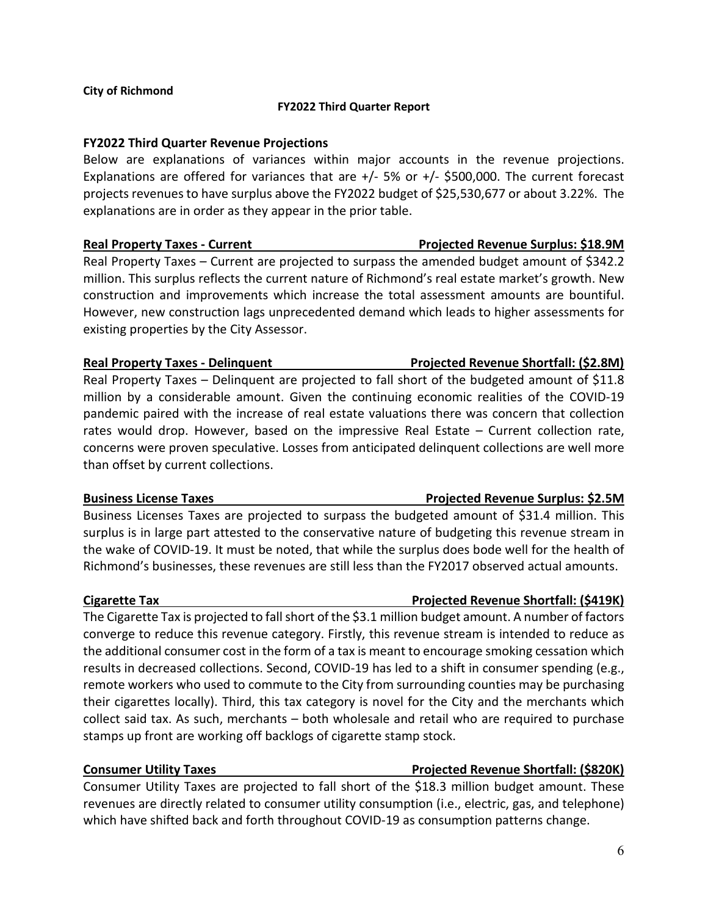**City of Richmond**

### **FY2022 Third Quarter Report**

### **FY2022 Third Quarter Revenue Projections**

Below are explanations of variances within major accounts in the revenue projections. Explanations are offered for variances that are  $+/- 5\%$  or  $+/- 5500,000$ . The current forecast projects revenues to have surplus above the FY2022 budget of \$25,530,677 or about 3.22%. The explanations are in order as they appear in the prior table.

### **Real Property Taxes - Current Projected Revenue Surplus: \$18.9M**

Real Property Taxes – Current are projected to surpass the amended budget amount of \$342.2 million. This surplus reflects the current nature of Richmond's real estate market's growth. New construction and improvements which increase the total assessment amounts are bountiful. However, new construction lags unprecedented demand which leads to higher assessments for existing properties by the City Assessor.

### **Real Property Taxes - Delinquent <b>Projected Revenue Shortfall: (\$2.8M)**

Real Property Taxes – Delinquent are projected to fall short of the budgeted amount of \$11.8 million by a considerable amount. Given the continuing economic realities of the COVID-19 pandemic paired with the increase of real estate valuations there was concern that collection rates would drop. However, based on the impressive Real Estate – Current collection rate, concerns were proven speculative. Losses from anticipated delinquent collections are well more than offset by current collections.

### **Business License Taxes Projected Revenue Surplus: \$2.5M**

Business Licenses Taxes are projected to surpass the budgeted amount of \$31.4 million. This surplus is in large part attested to the conservative nature of budgeting this revenue stream in the wake of COVID-19. It must be noted, that while the surplus does bode well for the health of Richmond's businesses, these revenues are still less than the FY2017 observed actual amounts.

The Cigarette Tax is projected to fall short of the \$3.1 million budget amount. A number of factors converge to reduce this revenue category. Firstly, this revenue stream is intended to reduce as the additional consumer cost in the form of a tax is meant to encourage smoking cessation which results in decreased collections. Second, COVID-19 has led to a shift in consumer spending (e.g., remote workers who used to commute to the City from surrounding counties may be purchasing their cigarettes locally). Third, this tax category is novel for the City and the merchants which collect said tax. As such, merchants – both wholesale and retail who are required to purchase stamps up front are working off backlogs of cigarette stamp stock.

Consumer Utility Taxes are projected to fall short of the \$18.3 million budget amount. These revenues are directly related to consumer utility consumption (i.e., electric, gas, and telephone) which have shifted back and forth throughout COVID-19 as consumption patterns change.

### **Cigarette Tax Projected Revenue Shortfall: (\$419K)**

# **Consumer Utility Taxes The Consumer Utility Taxes According to Projected Revenue Shortfall: (\$820K)**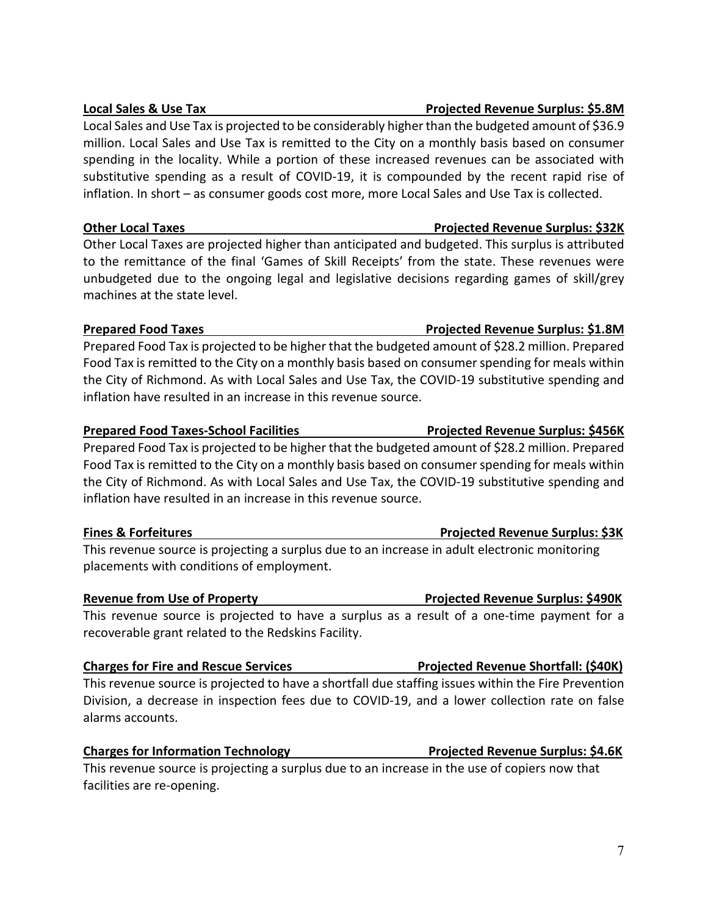# **Local Sales & Use Tax Projected Revenue Surplus: \$5.8M**

Local Sales and Use Tax is projected to be considerably higher than the budgeted amount of \$36.9 million. Local Sales and Use Tax is remitted to the City on a monthly basis based on consumer spending in the locality. While a portion of these increased revenues can be associated with substitutive spending as a result of COVID-19, it is compounded by the recent rapid rise of inflation. In short – as consumer goods cost more, more Local Sales and Use Tax is collected.

**Other Local Taxes Projected Revenue Surplus: \$32K** Other Local Taxes are projected higher than anticipated and budgeted. This surplus is attributed to the remittance of the final 'Games of Skill Receipts' from the state. These revenues were unbudgeted due to the ongoing legal and legislative decisions regarding games of skill/grey machines at the state level.

Prepared Food Tax is projected to be higher that the budgeted amount of \$28.2 million. Prepared Food Tax is remitted to the City on a monthly basis based on consumer spending for meals within the City of Richmond. As with Local Sales and Use Tax, the COVID-19 substitutive spending and inflation have resulted in an increase in this revenue source.

### **Prepared Food Taxes-School Facilities Projected Revenue Surplus: \$456K**

Prepared Food Tax is projected to be higher that the budgeted amount of \$28.2 million. Prepared Food Tax is remitted to the City on a monthly basis based on consumer spending for meals within the City of Richmond. As with Local Sales and Use Tax, the COVID-19 substitutive spending and inflation have resulted in an increase in this revenue source.

This revenue source is projecting a surplus due to an increase in adult electronic monitoring placements with conditions of employment.

### **Revenue from Use of Property Projected Revenue Surplus: \$490K**

This revenue source is projected to have a surplus as a result of a one-time payment for a recoverable grant related to the Redskins Facility.

**Charges for Fire and Rescue Services Projected Revenue Shortfall: (\$40K)** This revenue source is projected to have a shortfall due staffing issues within the Fire Prevention Division, a decrease in inspection fees due to COVID-19, and a lower collection rate on false alarms accounts.

### **Charges for Information Technology Projected Revenue Surplus: \$4.6K**

This revenue source is projecting a surplus due to an increase in the use of copiers now that facilities are re-opening.

### **Prepared Food Taxes Projected Revenue Surplus: \$1.8M**

### **Fines & Forfeitures Projected Revenue Surplus: \$3K**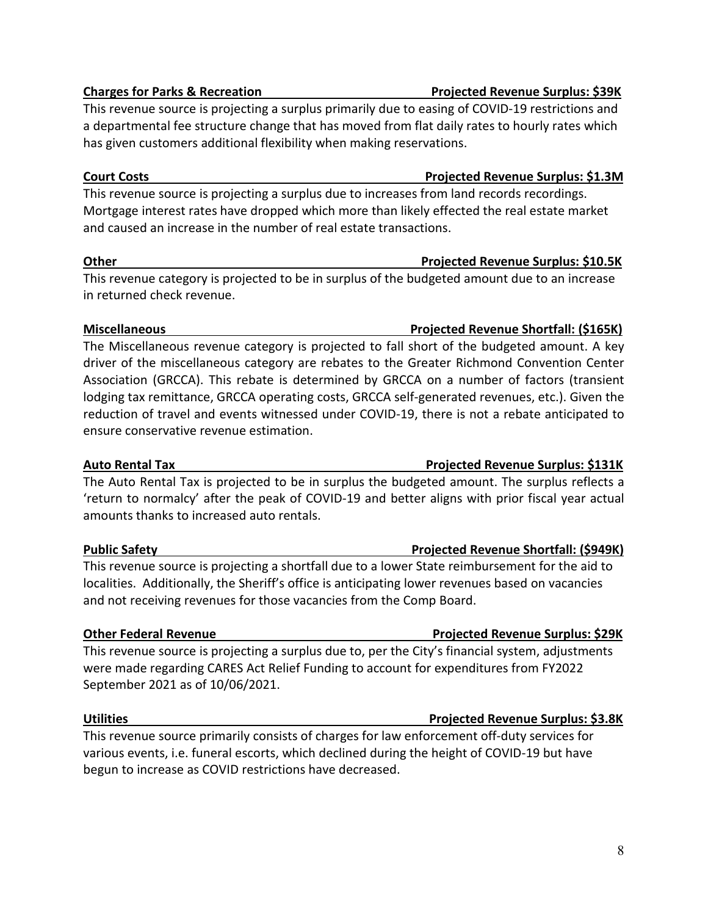This revenue source is projecting a surplus primarily due to easing of COVID-19 restrictions and a departmental fee structure change that has moved from flat daily rates to hourly rates which has given customers additional flexibility when making reservations.

# **Court Costs Projected Revenue Surplus: \$1.3M**

This revenue source is projecting a surplus due to increases from land records recordings. Mortgage interest rates have dropped which more than likely effected the real estate market and caused an increase in the number of real estate transactions.

This revenue category is projected to be in surplus of the budgeted amount due to an increase in returned check revenue.

# **Miscellaneous Projected Revenue Shortfall: (\$165K)**

The Miscellaneous revenue category is projected to fall short of the budgeted amount. A key driver of the miscellaneous category are rebates to the Greater Richmond Convention Center Association (GRCCA). This rebate is determined by GRCCA on a number of factors (transient lodging tax remittance, GRCCA operating costs, GRCCA self-generated revenues, etc.). Given the reduction of travel and events witnessed under COVID-19, there is not a rebate anticipated to ensure conservative revenue estimation.

The Auto Rental Tax is projected to be in surplus the budgeted amount. The surplus reflects a 'return to normalcy' after the peak of COVID-19 and better aligns with prior fiscal year actual amounts thanks to increased auto rentals.

# **Public Safety Projected Revenue Shortfall: (\$949K)**

This revenue source is projecting a shortfall due to a lower State reimbursement for the aid to localities. Additionally, the Sheriff's office is anticipating lower revenues based on vacancies and not receiving revenues for those vacancies from the Comp Board.

This revenue source is projecting a surplus due to, per the City's financial system, adjustments were made regarding CARES Act Relief Funding to account for expenditures from FY2022 September 2021 as of 10/06/2021.

### **Utilities Projected Revenue Surplus: \$3.8K**

This revenue source primarily consists of charges for law enforcement off-duty services for various events, i.e. funeral escorts, which declined during the height of COVID-19 but have begun to increase as COVID restrictions have decreased.

# **Auto Rental Tax Projected Revenue Surplus: \$131K**

# **Other Federal Revenue Projected Revenue Surplus: \$29K**

### Charges for Parks & Recreation **Projected Revenue Surplus: \$39K**

# **Other Projected Revenue Surplus: \$10.5K**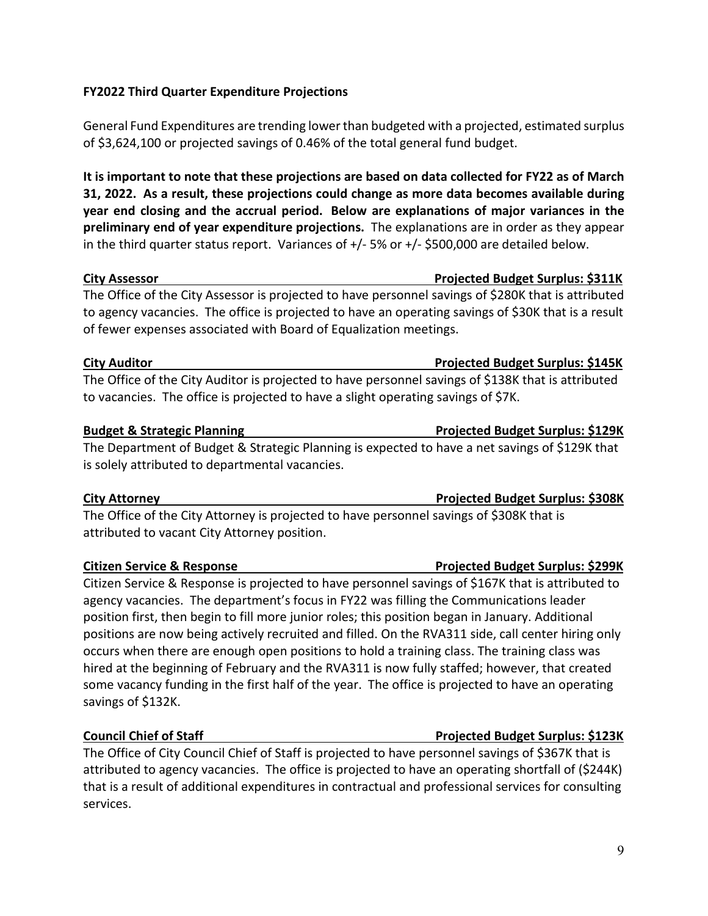### **FY2022 Third Quarter Expenditure Projections**

General Fund Expenditures are trending lower than budgeted with a projected, estimated surplus of \$3,624,100 or projected savings of 0.46% of the total general fund budget.

**It is important to note that these projections are based on data collected for FY22 as of March 31, 2022. As a result, these projections could change as more data becomes available during year end closing and the accrual period. Below are explanations of major variances in the preliminary end of year expenditure projections.** The explanations are in order as they appear in the third quarter status report. Variances of +/- 5% or +/- \$500,000 are detailed below.

# **City Assessor Projected Budget Surplus: \$311K**

The Office of the City Assessor is projected to have personnel savings of \$280K that is attributed to agency vacancies. The office is projected to have an operating savings of \$30K that is a result of fewer expenses associated with Board of Equalization meetings.

### **City Auditor Projected Budget Surplus: \$145K**

The Office of the City Auditor is projected to have personnel savings of \$138K that is attributed to vacancies. The office is projected to have a slight operating savings of \$7K.

### **Budget & Strategic Planning Projected Budget Surplus: \$129K**

The Department of Budget & Strategic Planning is expected to have a net savings of \$129K that is solely attributed to departmental vacancies.

The Office of the City Attorney is projected to have personnel savings of \$308K that is attributed to vacant City Attorney position.

Citizen Service & Response is projected to have personnel savings of \$167K that is attributed to agency vacancies. The department's focus in FY22 was filling the Communications leader position first, then begin to fill more junior roles; this position began in January. Additional positions are now being actively recruited and filled. On the RVA311 side, call center hiring only occurs when there are enough open positions to hold a training class. The training class was hired at the beginning of February and the RVA311 is now fully staffed; however, that created some vacancy funding in the first half of the year. The office is projected to have an operating savings of \$132K.

# **Council Chief of Staff Chief Article Council Chief of Staff Chief Article Council Chief Article Surplus: \$123K**

The Office of City Council Chief of Staff is projected to have personnel savings of \$367K that is attributed to agency vacancies. The office is projected to have an operating shortfall of (\$244K) that is a result of additional expenditures in contractual and professional services for consulting services.

# **City Attorney Projected Budget Surplus: \$308K**

### **Citizen Service & Response Projected Budget Surplus: \$299K**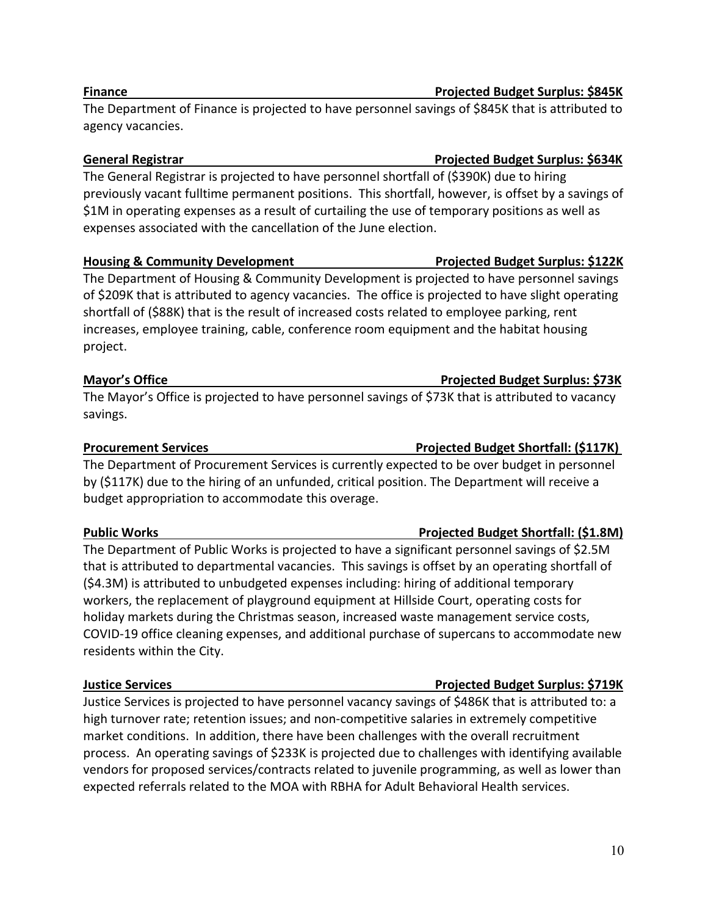## **Finance Projected Budget Surplus: \$845K**

# The Department of Finance is projected to have personnel savings of \$845K that is attributed to agency vacancies.

The General Registrar is projected to have personnel shortfall of (\$390K) due to hiring previously vacant fulltime permanent positions. This shortfall, however, is offset by a savings of \$1M in operating expenses as a result of curtailing the use of temporary positions as well as expenses associated with the cancellation of the June election.

### **Housing & Community Development Projected Budget Surplus: \$122K**

The Department of Housing & Community Development is projected to have personnel savings of \$209K that is attributed to agency vacancies. The office is projected to have slight operating shortfall of (\$88K) that is the result of increased costs related to employee parking, rent increases, employee training, cable, conference room equipment and the habitat housing project.

The Mayor's Office is projected to have personnel savings of \$73K that is attributed to vacancy savings.

The Department of Procurement Services is currently expected to be over budget in personnel by (\$117K) due to the hiring of an unfunded, critical position. The Department will receive a budget appropriation to accommodate this overage.

# **Public Works Projected Budget Shortfall: (\$1.8M)**

The Department of Public Works is projected to have a significant personnel savings of \$2.5M that is attributed to departmental vacancies. This savings is offset by an operating shortfall of (\$4.3M) is attributed to unbudgeted expenses including: hiring of additional temporary workers, the replacement of playground equipment at Hillside Court, operating costs for holiday markets during the Christmas season, increased waste management service costs, COVID-19 office cleaning expenses, and additional purchase of supercans to accommodate new residents within the City.

Justice Services is projected to have personnel vacancy savings of \$486K that is attributed to: a high turnover rate; retention issues; and non-competitive salaries in extremely competitive market conditions. In addition, there have been challenges with the overall recruitment process. An operating savings of \$233K is projected due to challenges with identifying available vendors for proposed services/contracts related to juvenile programming, as well as lower than expected referrals related to the MOA with RBHA for Adult Behavioral Health services.

# **Procurement Services And Accord Budget Shortfall: (\$117K)**

# **General Registrar Projected Budget Surplus: \$634K**

# **Mayor's Office Projected Budget Surplus: \$73K**

## **Justice Services Projected Budget Surplus: \$719K**